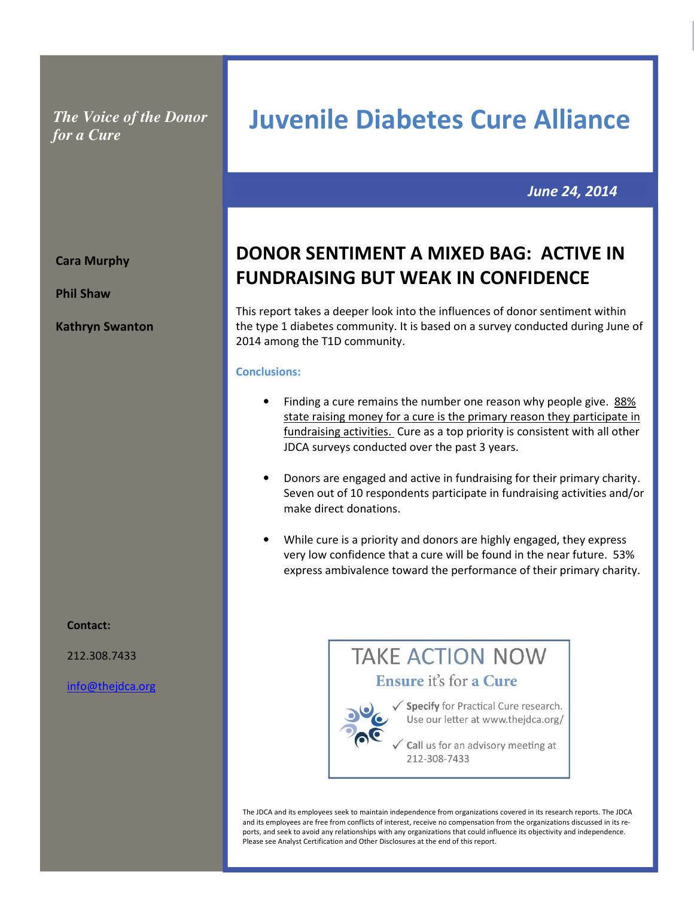*The Voice of the Donor for a Cure* 

# June 24, 2014

# DONOR SENTIMENT A MIXED BAG: ACTIVE IN FUNDRAISING BUT WEAK IN CONFIDENCE

Juvenile Diabetes Cure Alliance

This report takes a deeper look into the influences of donor sentiment within the type 1 diabetes community. It is based on a survey conducted during June of 2014 among the T1D community.

#### Conclusions:

- Finding a cure remains the number one reason why people give. 88% state raising money for a cure is the primary reason they participate in fundraising activities. Cure as a top priority is consistent with all other JDCA surveys conducted over the past 3 years.
- Donors are engaged and active in fundraising for their primary charity. Seven out of 10 respondents participate in fundraising activities and/or make direct donations.
- While cure is a priority and donors are highly engaged, they express very low confidence that a cure will be found in the near future. 53% express ambivalence toward the performance of their primary charity.



The JDCA and its employees seek to maintain independence from organizations covered in its research reports. The JDCA and its employees are free from conflicts of interest, receive no compensation from the organizations discussed in its reports, and seek to avoid any relationships with any organizations that could influence its objectivity and independence. Please see Analyst Certification and Other Disclosures at the end of this report.

Cara Murphy

Phil Shaw

Kathryn Swanton

Contact:

212.308.7433

info@thejdca.org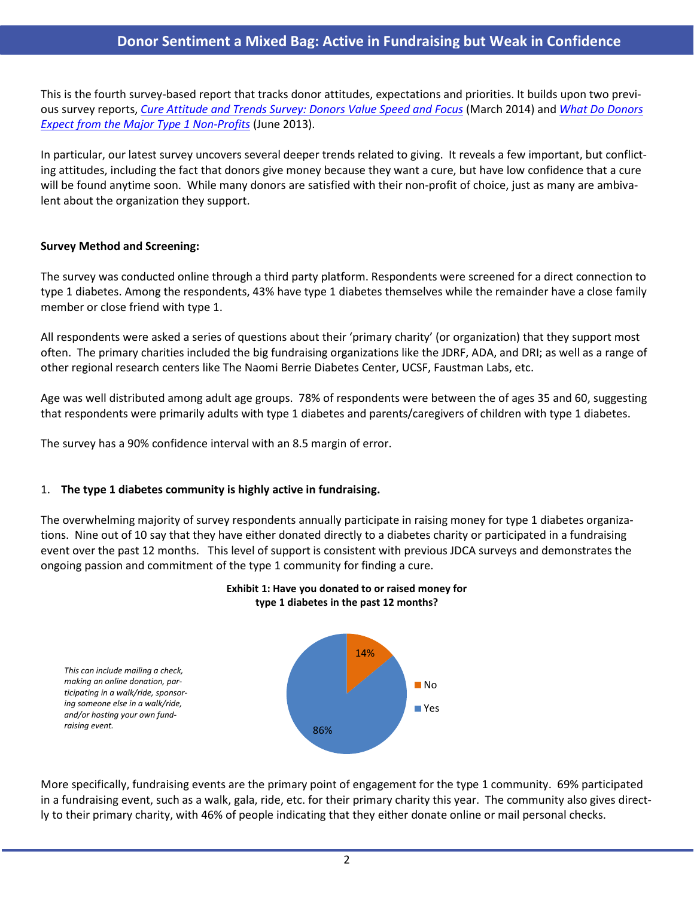# Donor Sentiment a Mixed Bag: Active in Fundraising but Weak in Confidence

This is the fourth survey-based report that tracks donor attitudes, expectations and priorities. It builds upon two previous survey reports, Cure Attitude and Trends Survey: Donors Value Speed and Focus (March 2014) and What Do Donors Expect from the Major Type 1 Non-Profits (June 2013).

In particular, our latest survey uncovers several deeper trends related to giving. It reveals a few important, but conflicting attitudes, including the fact that donors give money because they want a cure, but have low confidence that a cure will be found anytime soon. While many donors are satisfied with their non-profit of choice, just as many are ambivalent about the organization they support.

#### Survey Method and Screening:

The survey was conducted online through a third party platform. Respondents were screened for a direct connection to type 1 diabetes. Among the respondents, 43% have type 1 diabetes themselves while the remainder have a close family member or close friend with type 1.

All respondents were asked a series of questions about their 'primary charity' (or organization) that they support most often. The primary charities included the big fundraising organizations like the JDRF, ADA, and DRI; as well as a range of other regional research centers like The Naomi Berrie Diabetes Center, UCSF, Faustman Labs, etc.

Age was well distributed among adult age groups. 78% of respondents were between the of ages 35 and 60, suggesting that respondents were primarily adults with type 1 diabetes and parents/caregivers of children with type 1 diabetes.

The survey has a 90% confidence interval with an 8.5 margin of error.

### 1. The type 1 diabetes community is highly active in fundraising.

The overwhelming majority of survey respondents annually participate in raising money for type 1 diabetes organizations. Nine out of 10 say that they have either donated directly to a diabetes charity or participated in a fundraising event over the past 12 months. This level of support is consistent with previous JDCA surveys and demonstrates the ongoing passion and commitment of the type 1 community for finding a cure.



### Exhibit 1: Have you donated to or raised money for type 1 diabetes in the past 12 months?

More specifically, fundraising events are the primary point of engagement for the type 1 community. 69% participated in a fundraising event, such as a walk, gala, ride, etc. for their primary charity this year. The community also gives directly to their primary charity, with 46% of people indicating that they either donate online or mail personal checks.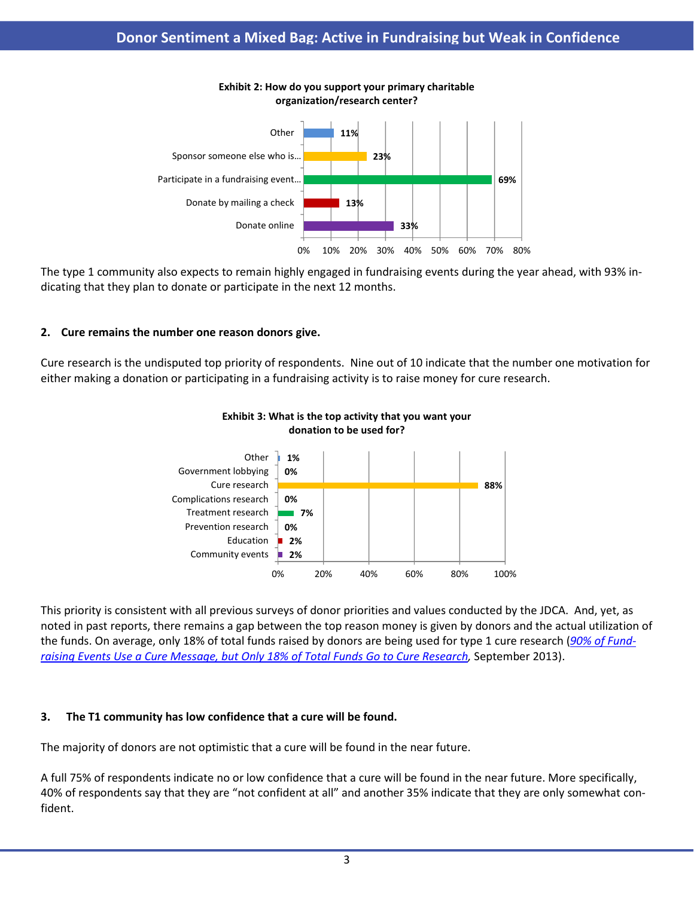

### Exhibit 2: How do you support your primary charitable organization/research center?

The type 1 community also expects to remain highly engaged in fundraising events during the year ahead, with 93% indicating that they plan to donate or participate in the next 12 months.

## 2. Cure remains the number one reason donors give.

Cure research is the undisputed top priority of respondents. Nine out of 10 indicate that the number one motivation for either making a donation or participating in a fundraising activity is to raise money for cure research.



# Exhibit 3: What is the top activity that you want your donation to be used for?

This priority is consistent with all previous surveys of donor priorities and values conducted by the JDCA. And, yet, as noted in past reports, there remains a gap between the top reason money is given by donors and the actual utilization of the funds. On average, only 18% of total funds raised by donors are being used for type 1 cure research (90% of Fundraising Events Use a Cure Message, but Only 18% of Total Funds Go to Cure Research, September 2013).

# 3. The T1 community has low confidence that a cure will be found.

The majority of donors are not optimistic that a cure will be found in the near future.

A full 75% of respondents indicate no or low confidence that a cure will be found in the near future. More specifically, 40% of respondents say that they are "not confident at all" and another 35% indicate that they are only somewhat confident.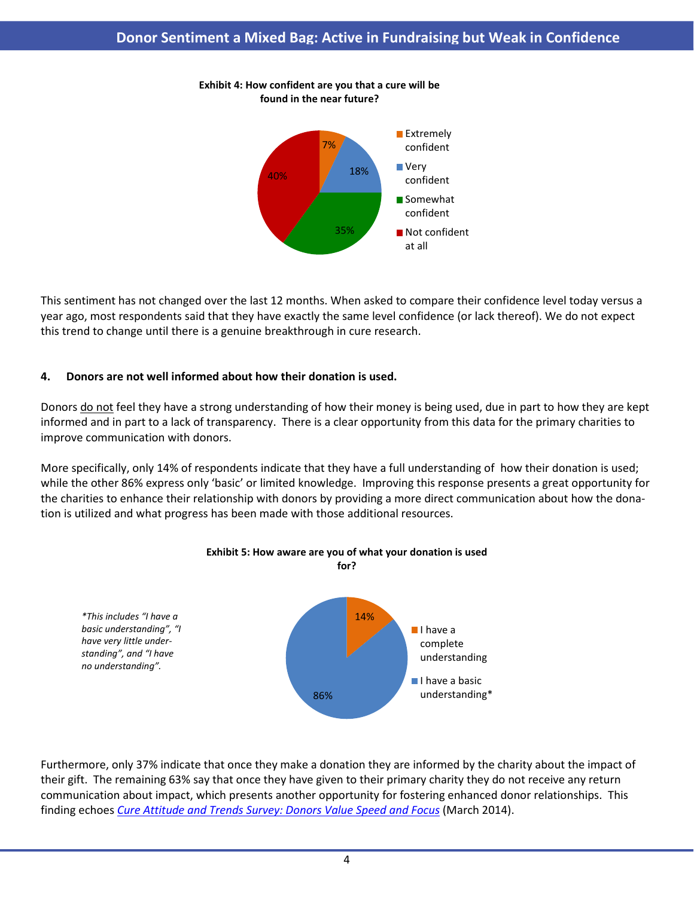

#### Exhibit 4: How confident are you that a cure will be found in the near future?

This sentiment has not changed over the last 12 months. When asked to compare their confidence level today versus a year ago, most respondents said that they have exactly the same level confidence (or lack thereof). We do not expect this trend to change until there is a genuine breakthrough in cure research.

## 4. Donors are not well informed about how their donation is used.

Donors do not feel they have a strong understanding of how their money is being used, due in part to how they are kept informed and in part to a lack of transparency. There is a clear opportunity from this data for the primary charities to improve communication with donors.

More specifically, only 14% of respondents indicate that they have a full understanding of how their donation is used; while the other 86% express only 'basic' or limited knowledge. Improving this response presents a great opportunity for the charities to enhance their relationship with donors by providing a more direct communication about how the donation is utilized and what progress has been made with those additional resources.



# Furthermore, only 37% indicate that once they make a donation they are informed by the charity about the impact of their gift. The remaining 63% say that once they have given to their primary charity they do not receive any return communication about impact, which presents another opportunity for fostering enhanced donor relationships. This finding echoes Cure Attitude and Trends Survey: Donors Value Speed and Focus (March 2014).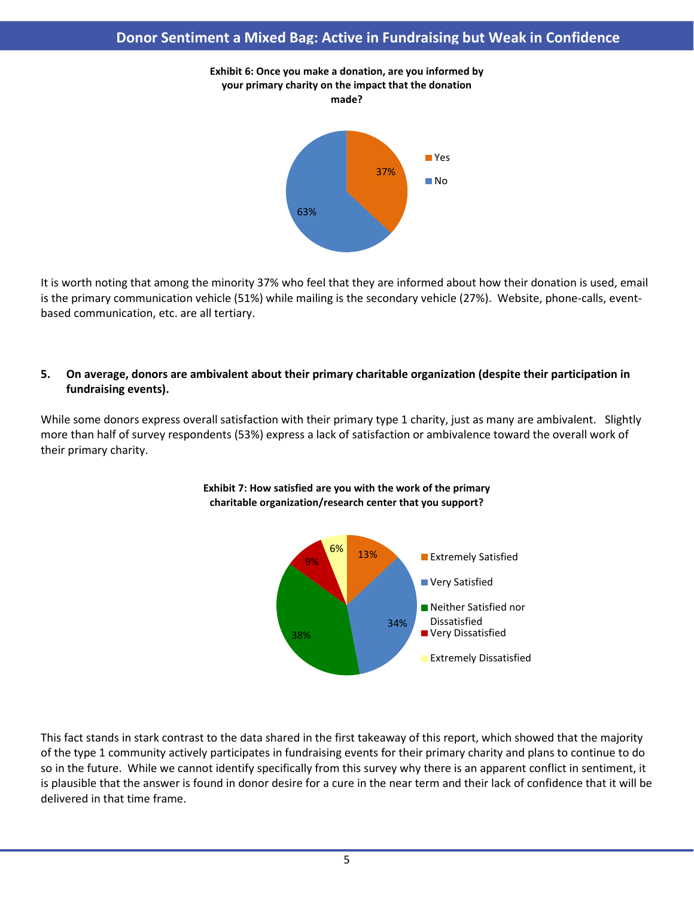

It is worth noting that among the minority 37% who feel that they are informed about how their donation is used, email is the primary communication vehicle (51%) while mailing is the secondary vehicle (27%). Website, phone-calls, eventbased communication, etc. are all tertiary.

### 5. On average, donors are ambivalent about their primary charitable organization (despite their participation in fundraising events).

While some donors express overall satisfaction with their primary type 1 charity, just as many are ambivalent. Slightly more than half of survey respondents (53%) express a lack of satisfaction or ambivalence toward the overall work of their primary charity.





This fact stands in stark contrast to the data shared in the first takeaway of this report, which showed that the majority of the type 1 community actively participates in fundraising events for their primary charity and plans to continue to do so in the future. While we cannot identify specifically from this survey why there is an apparent conflict in sentiment, it is plausible that the answer is found in donor desire for a cure in the near term and their lack of confidence that it will be delivered in that time frame.